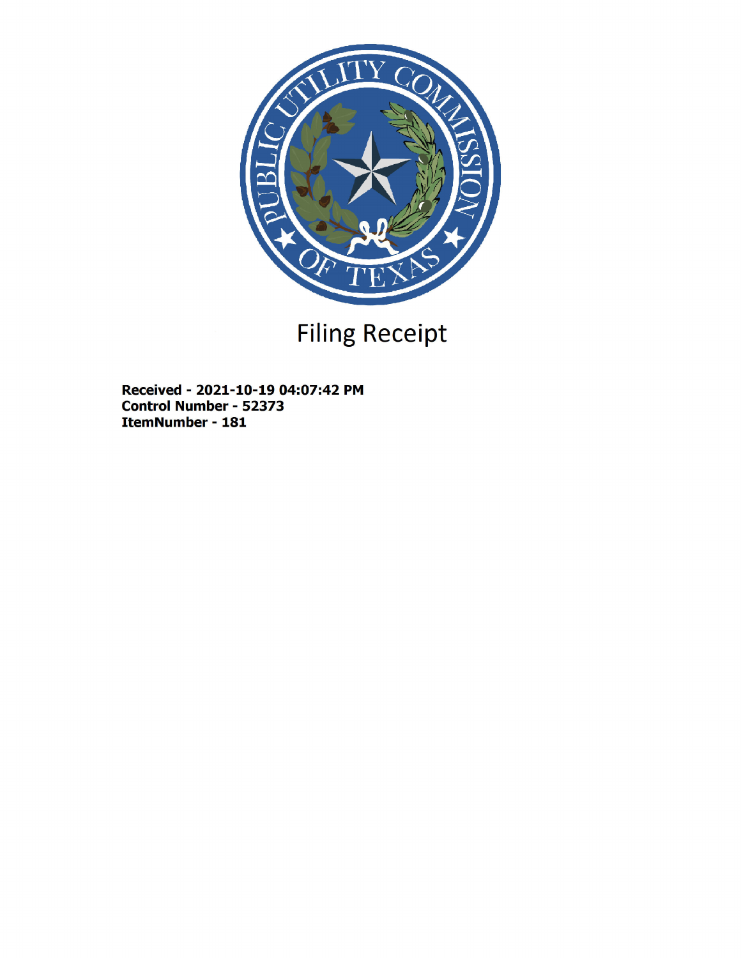

## Filing Receipt

Received - 2021-10-19 04:07:42 PM Control Number - 52373 ItemNumber - 181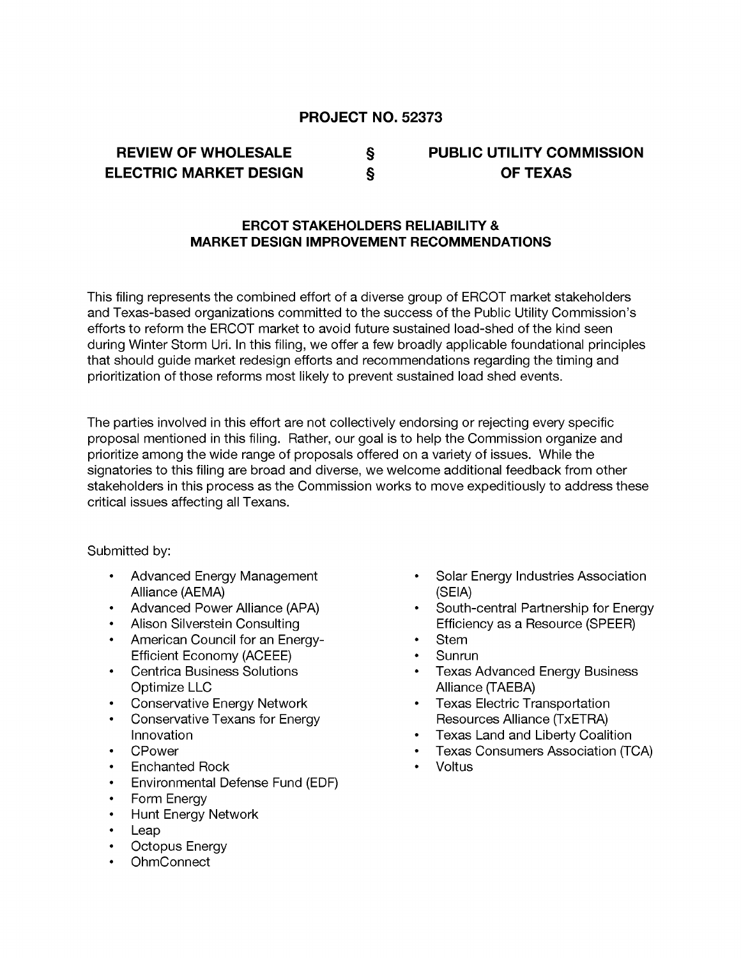### PROJECT NO. 52373

## REVIEW OF WHOLESALE § ELECTRIC MARKET DESIGN §

## PUBLIC UTILITY COMMISSION OF TEXAS

### ERCOT STAKEHOLDERS RELIABILITY & MARKET DESIGN IMPROVEMENT RECOMMENDATIONS

This filing represents the combined effort of a diverse group of ERCOT market stakeholders and Texas-based organizations committed to the success of the Public Utility Commission's efforts to reform the ERCOT market to avoid future sustained load-shed of the kind seen during Winter Storm Uri. In this filing, we offer a few broadly applicable foundational principles that should guide market redesign efforts and recommendations regarding the timing and prioritization of those reforms most likely to prevent sustained load shed events.

The parties involved in this effort are not collectively endorsing or rejecting every specific proposal mentioned in this filing. Rather, our goal is to help the Commission organize and prioritize among the wide range of proposals offered on a variety of issues. While the signatories to this filing are broad and diverse, we welcome additional feedback from other stakeholders in this process as the Commission works to move expeditiously to address these critical issues affecting all Texans.

#### Submitted by:

- · Advanced Energy Management Alliance (AEMA)
- Advanced Power Alliance (APA)
- · Alison Silverstein Consulting
- · American Council for an Energy-Efficient Economy (ACEEE)
- · Centrica Business Solutions Optimize LLC
- Conservative Energy Network
- **Conservative Texans for Energy Innovation**
- · CPower
- **Enchanted Rock**
- · Environmental Defense Fund (EDF)
- · Form Energy
- · Hunt Energy Network
- · Leap
- · Octopus Energy
- · OhmConnect
- Solar Energy Industries Association (SEIA)
- South-central Partnership for Energy Efficiency as a Resource (SPEER)
- Stem
- · Sunrun
- Texas Advanced Energy Business Alliance (TAEBA)
- · Texas Electric Transportation Resources Alliance (TxETRA)
- Texas Land and Liberty Coalition
- Texas Consumers Association (TCA)
- Voltus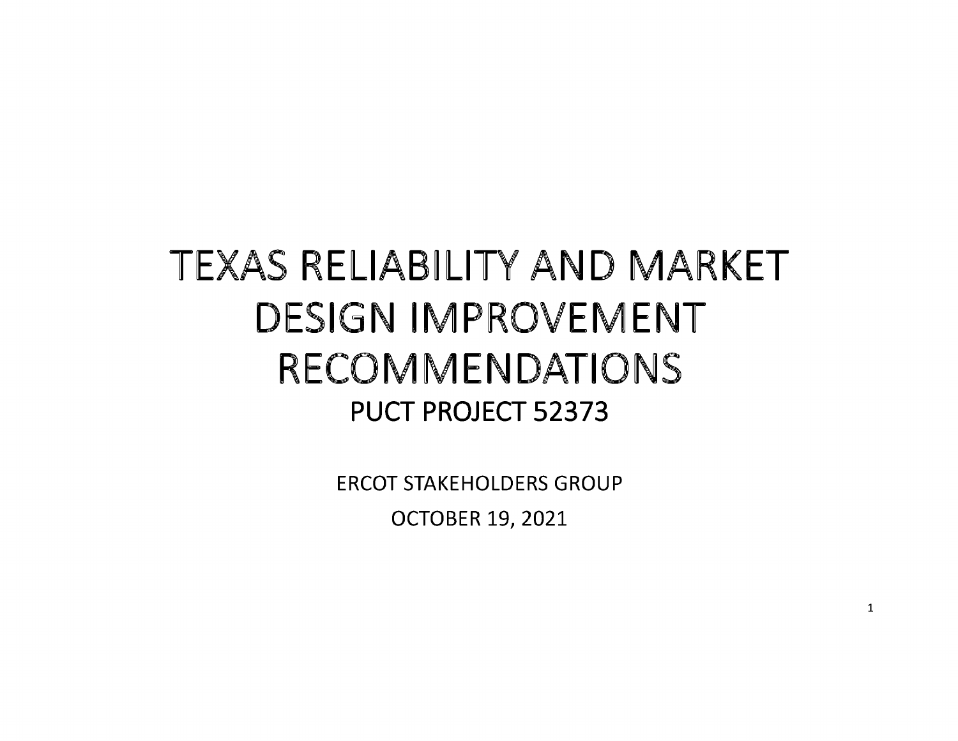# TEXAS RELIABILITY AND MARKET DESIGN IMPROVEMENT RECOMMENDATIONS PUCT PROJECT 52373

ERCOT STAKEHOLDERS GROUP OCTOBER 19, 2021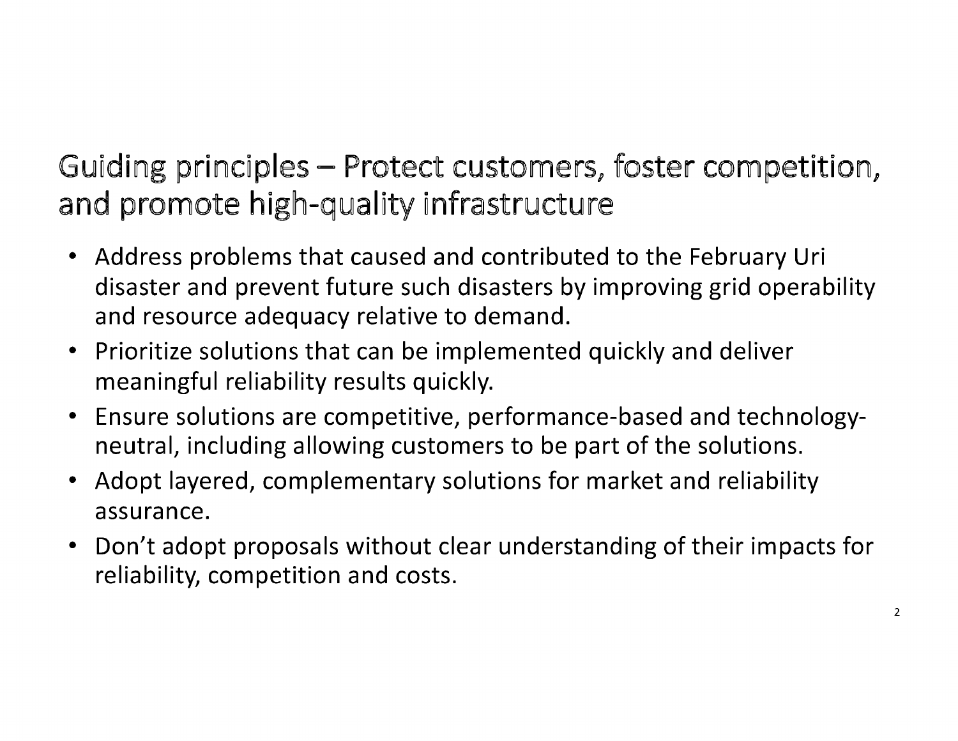Gujding principles - Protect customers, foster competition, and promote high-quality infrastructure

- Address problems that caused and contributed to the February Uri disaster and prevent future such disasters by improving grid operability and resource adequacy relative to demand.
- Prioritize solutions that can be implemented quickly and deliver meaningful reliability results quickly.
- Ensure solutions are competitive, performance-based and technologyneutral, including allowing customers to be part of the solutions.
- Adopt layered, complementary solutions for market and reliability assurance.
- Don't adopt proposals without clear understanding of their impacts for reliability, competition and costs.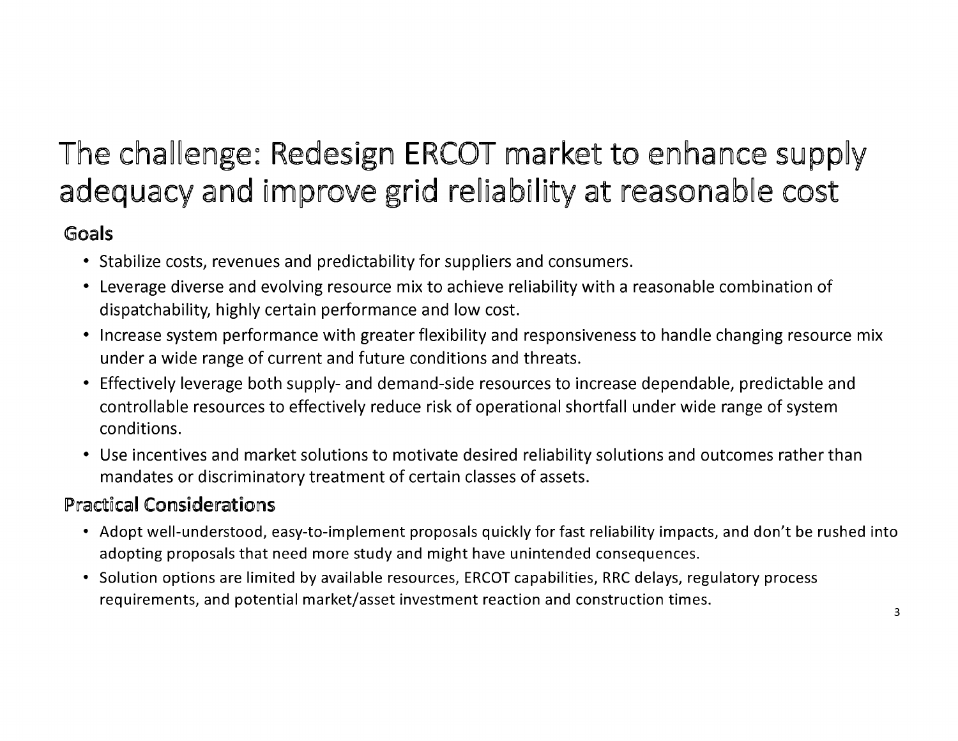## The challenge: Redesign ERCOT market to enhance supply adequacy and improve grid reliability at reasonable cost

## Goals

- Stabilize costs, revenues and predictability for suppliers and consumers.
- Leverage diverse and evolving resource mix to achieve reliability with a reasonable combination of dispatchability, highly certain performance and low cost.
- Increase system performance with greater flexibility and responsiveness to handle changing resource mix under a wide range of current and future conditions and threats.
- Effectively leverage both supply- and demand-side resources to increase dependable, predictable and controllable resources to effectively reduce risk of operational shortfall under wide range of system conditions.
- Use incentives and market solutions to motivate desired reliability solutions and outcomes rather than mandates or discriminatory treatment of certain classes of assets.

## Practical Considerations

- Adopt well-understood, easy-to-implement proposals quickly for fast reliability impacts, and don't be rushed into adopting proposals that need more study and might have unintended consequences.
- Solution options are limited by available resources, ERCOT capabilities, RRC delays, regulatory process requirements, and potential market/asset investment reaction and construction times.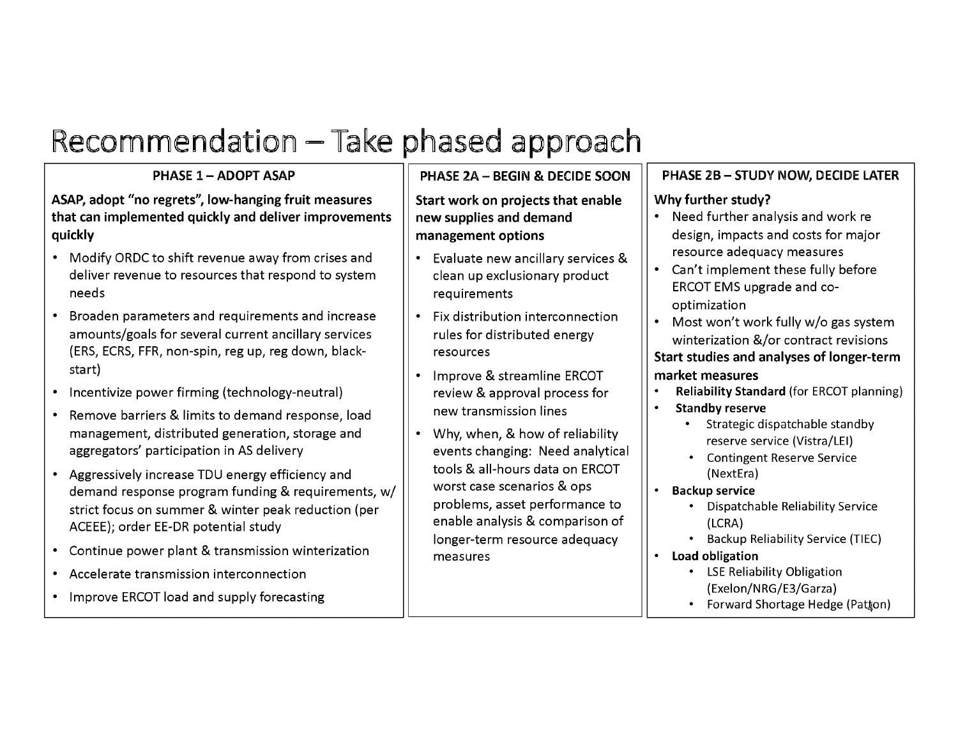## Recommendation – Take phased approach

## PHASE 1 - ADOPT ASAP

ASAP, adopt "no regrets", low-hanging fruit measures that can implemented quickly and deliver improvements quickly

- Modify ORDC to shift revenue away from crises and deliver revenue to resources that respond to system needs
- Broaden parameters and requirements and increase amounts/goals for several current ancillary services (ERS, ECRS, FFR, non-spin, reg up, reg down, blackstart)
- Incentivize power firming (technology-neutral)
- Remove barriers & limits to demand response, load management, distributed generation, storage and aggregators' participation in AS delivery
- Aggressively increase TDU energy efficiency and demand response program funding & requirements, w/ strict focus on summer & winter peak reduction (per ACEEE); order EE-DR potential study
- Continue power plant & transmission winterization
- Accelerate transmission interconnection
- Improve ERCOT load and supply forecasting

## PHASE 2A - BEGIN & DECIDE SOON

Start work on projects that enable new supplies and demand management options

- Evaluate new ancillary services & clean up exclusionary product requirements
- Fix distribution interconnection rules for distributed energy resources
- Improve & streamline ERCOT review & approval process for newtransmission lines
- Why, when, & how of reliability events changing: Need analytical tools & all-hours data on ERCOT worst case scenarios & ops problems, asset performance to enable analysis & comparison of longer-term resource adequacy measures

## PHASE 2B - STUDY NOW, DECIDE LATER

### Why further study?

- Need further analysis and work re design, impacts and costs for major resource adequacy measures
- Can't implement these fully before ERCOT EMS upgrade and cooptimization
- Most won't work fully w/o gas system winterization &/or contract revisions Start studies and analyses of longer-term market measures
- Reliability Standard (for ERCOT planning)
- Standby reserve
	- Strategic dispatchable standby reserve service (Vistra/LEI)
	- Contingent Reserve Service (Next Era)
- Backup service
	- Dispatchable Reliability Service (LCRA)
	- Backup Reliability Service (TIEC)
- Load obligation
	- LSE Reliability Obligation (Exelon/NRG/E3/Garza)
	- Forward Shortage Hedge (Patton)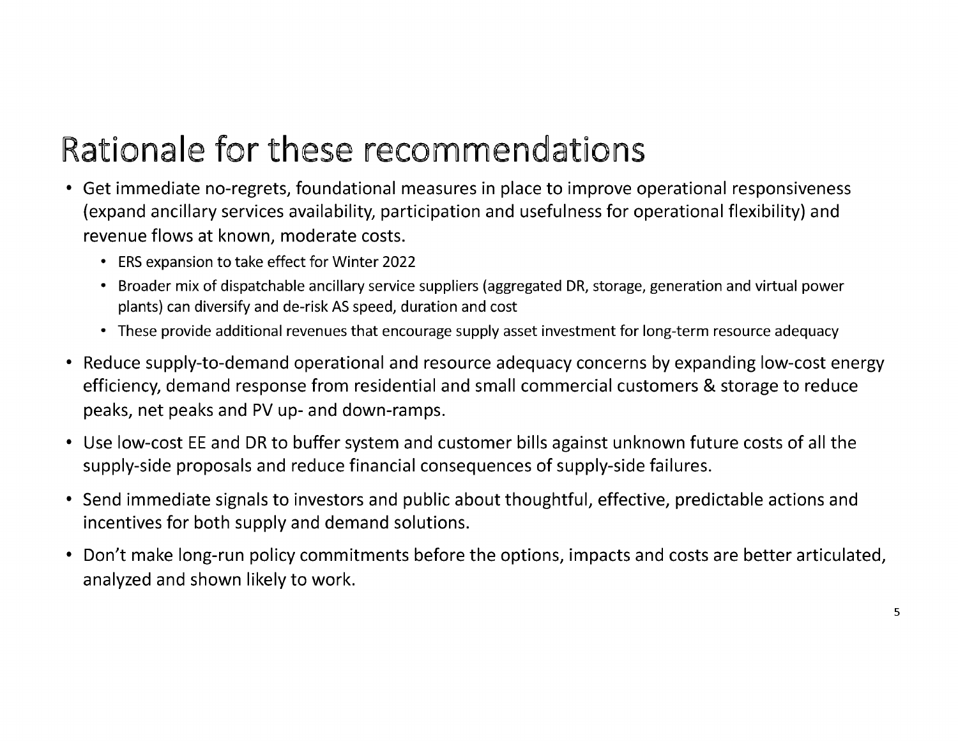## Rationale for these recommendations

- Get immediate no-regrets, foundational measures in place to improve operational responsiveness (expand ancillary services availability, participation and usefulness for operational flexibility) and revenue flows at known, moderate costs.
	- ERS expansion to take effect for Winter 2022
	- Broader mix of dispatchable ancillary service suppliers (aggregated DR, storage, generation and virtual power plants) can diversify and de-risk AS speed, duration and cost
	- These provide additional revenues that encourage supply asset investment for long-term resource adequacy
- Reduce supply-to-demand operational and resource adequacy concerns by expanding low-cost energy efficiency, demand response from residential and small commercial customers & storage to reduce peaks, net peaks and PV up- and down-ramps.
- Use low-cost EE and DR to buffer system and customer bills against unknown future costs of all the supply-side proposals and reduce financial consequences of supply-side failures.
- Send immediate signals to investors and public about thoughtful, effective, predictable actions and incentives for both supply and demand solutions.
- Don't make long-run policy commitments before the options, impacts and costs are better articulated, analyzed and shown likely to work.